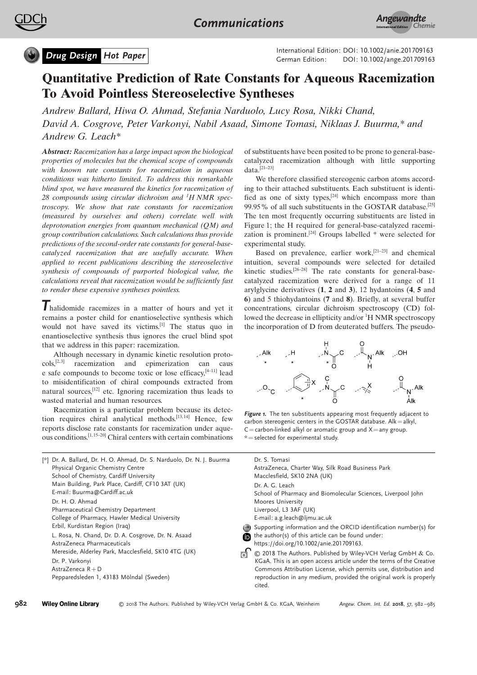

**Drug Design Hot Paper** Material Collection: DOI: [10.1002/ange.201709163](http://dx.doi.org/10.1002/ange.201709163) International Edition: DOI: [10.1002/anie.201709163](http://dx.doi.org/10.1002/anie.201709163)

# Quantitative Prediction of Rate Constants for Aqueous Racemization To Avoid Pointless Stereoselective Syntheses

Andrew Ballard, Hiwa O. Ahmad, Stefania Narduolo, Lucy Rosa, Nikki Chand, David A. Cosgrove, Peter Varkonyi, Nabil Asaad, Simone Tomasi, Niklaas J. Buurma,\* and [Andrew G. Leach\\*](http://orcid.org/0000-0003-1325-8273)

Abstract: Racemization has a large impact upon the biological properties of molecules but the chemical scope of compounds with known rate constants for racemization in aqueous conditions was hitherto limited. To address this remarkable blind spot, we have measured the kinetics for racemization of 28 compounds using circular dichroism and  ${}^{1}H NMR$  spectroscopy. We show that rate constants for racemization (measured by ourselves and others) correlate well with deprotonation energies from quantum mechanical (QM) and group contribution calculations. Such calculations thus provide predictions of the second-order rate constants for general-basecatalyzed racemization that are usefully accurate. When applied to recent publications describing the stereoselective synthesis of compounds of purported biological value, the calculations reveal that racemization would be sufficiently fast to render these expensive syntheses pointless.

Thalidomide racemizes in a matter of hours and yet it remains a poster child for enantioselective synthesis which would not have saved its victims.[1] The status quo in enantioselective synthesis thus ignores the cruel blind spot that we address in this paper: racemization.

Although necessary in dynamic kinetic resolution proto- $\cosh$ <sup>[2,3]</sup> racemization and epimerization can caus e safe compounds to become toxic or lose efficacy,[4–11] lead to misidentification of chiral compounds extracted from natural sources, $[12]$  etc. Ignoring racemization thus leads to wasted material and human resources.

Racemization is a particular problem because its detection requires chiral analytical methods.<sup>[13,14]</sup> Hence, few reports disclose rate constants for racemization under aqueous conditions.[1, 15–20] Chiral centers with certain combinations of substituents have been posited to be prone to general-basecatalyzed racemization although with little supporting data. $[21-23]$ 

We therefore classified stereogenic carbon atoms according to their attached substituents. Each substituent is identified as one of sixty types, $[24]$  which encompass more than 99.95% of all such substituents in the GOSTAR database.[25] The ten most frequently occurring substituents are listed in Figure 1; the H required for general-base-catalyzed racemization is prominent.[24] Groups labelled \* were selected for experimental study.

Based on prevalence, earlier work,[21–23] and chemical intuition, several compounds were selected for detailed kinetic studies.[26–28] The rate constants for general-basecatalyzed racemization were derived for a range of 11 arylglycine derivatives (1, 2 and 3), 12 hydantoins (4, 5 and 6) and 5 thiohydantoins (7 and 8). Briefly, at several buffer concentrations, circular dichroism spectroscopy (CD) followed the decrease in ellipticity and/or <sup>1</sup>H NMR spectroscopy the incorporation of D from deuterated buffers. The pseudo-



Figure 1. The ten substituents appearing most frequently adjacent to carbon stereogenic centers in the GOSTAR database. Alk = alkyl,  $C=$ carbon-linked alkyl or aromatic group and  $X=$ any group.  $*$  = selected for experimental study.

| [*] Dr. A. Ballard, Dr. H. O. Ahmad, Dr. S. Narduolo, Dr. N. J. Buurma             | Dr. S. Tomasi                                                                                                                                                                                                            |
|------------------------------------------------------------------------------------|--------------------------------------------------------------------------------------------------------------------------------------------------------------------------------------------------------------------------|
| Physical Organic Chemistry Centre                                                  | AstraZeneca, Charter Way, Silk Road Business Park                                                                                                                                                                        |
| School of Chemistry, Cardiff University                                            | Macclesfield, SK10 2NA (UK)                                                                                                                                                                                              |
| Main Building, Park Place, Cardiff, CF10 3AT (UK)                                  | Dr. A. G. Leach                                                                                                                                                                                                          |
| E-mail: Buurma@Cardiff.ac.uk                                                       | School of Pharmacy and Biomolecular Sciences, Liverpool John                                                                                                                                                             |
| Dr. H. O. Ahmad                                                                    | <b>Moores University</b>                                                                                                                                                                                                 |
| Pharmaceutical Chemistry Department                                                | Liverpool, L3 3AF (UK)                                                                                                                                                                                                   |
| College of Pharmacy, Hawler Medical University                                     | E-mail: a.g.leach@ljmu.ac.uk                                                                                                                                                                                             |
| Erbil, Kurdistan Region (Iraq)                                                     | Supporting information and the ORCID identification number(s) for                                                                                                                                                        |
| L. Rosa, N. Chand, Dr. D. A. Cosgrove, Dr. N. Asaad                                | the author(s) of this article can be found under:                                                                                                                                                                        |
| AstraZeneca Pharmaceuticals                                                        | https://doi.org/10.1002/anie.201709163.                                                                                                                                                                                  |
| Mereside, Alderley Park, Macclesfield, SK10 4TG (UK)                               | © 2018 The Authors. Published by Wiley-VCH Verlag GmbH & Co.                                                                                                                                                             |
| Dr. P. Varkonyi<br>AstraZeneca $R + D$<br>Pepparedsleden 1, 43183 Mölndal (Sweden) | KGaA. This is an open access article under the terms of the Creative<br>Commons Attribution License, which permits use, distribution and<br>reproduction in any medium, provided the original work is properly<br>cited. |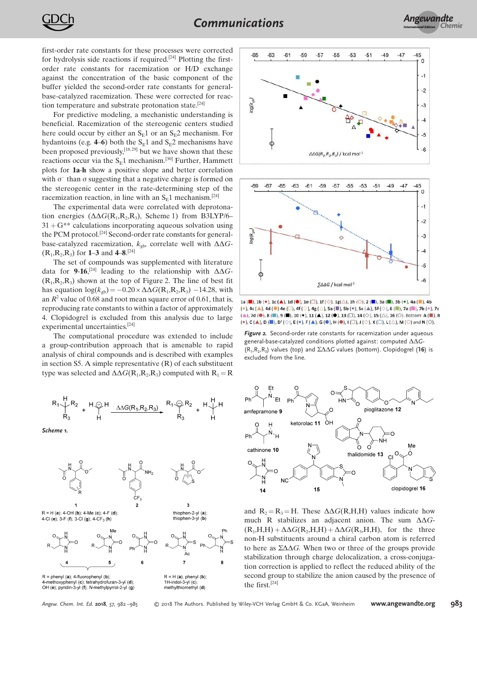first-order rate constants for these processes were corrected for hydrolysis side reactions if required.<sup>[24]</sup> Plotting the firstorder rate constants for racemization or H/D exchange against the concentration of the basic component of the buffer yielded the second-order rate constants for generalbase-catalyzed racemization. These were corrected for reaction temperature and substrate protonation state.[24]

For predictive modeling, a mechanistic understanding is beneficial. Racemization of the stereogenic centers studied here could occur by either an  $S_E1$  or an  $S_E2$  mechanism. For hydantoins (e.g. 4–6) both the  $S_E1$  and  $S_E2$  mechanisms have been proposed previously,<sup>[18,29]</sup> but we have shown that these reactions occur via the  $S<sub>E</sub>1$  mechanism.<sup>[30]</sup> Further, Hammett plots for 1a-h show a positive slope and better correlation with  $\sigma^-$  than  $\sigma$  suggesting that a negative charge is formed on the stereogenic center in the rate-determining step of the racemization reaction, in line with an  $S_E1$  mechanism.<sup>[24]</sup>

The experimental data were correlated with deprotonation energies  $(\Delta \Delta G(R_1,R_2,R_3),$  Scheme 1) from B3LYP/6–  $31 + G^{**}$  calculations incorporating aqueous solvation using the PCM protocol.[24] Second-order rate constants for generalbase-catalyzed racemization,  $k_{gb}$ , correlate well with  $\Delta\Delta G$ - $(R_1,R_2,R_3)$  for **1–3** and **4–8**.<sup>[24]</sup>

The set of compounds was supplemented with literature data for 9-16,<sup>[24]</sup> leading to the relationship with  $\Delta\Delta G$ - $(R_1,R_2,R_3)$  shown at the top of Figure 2. The line of best fit has equation  $\log(k_{\text{gb}}) = -0.20 \times \Delta \Delta G(\text{R}_1,\text{R}_2,\text{R}_3) -14.28$ , with an  $R^2$  value of 0.68 and root mean square error of 0.61, that is, reproducing rate constants to within a factor of approximately 4. Clopidogrel is excluded from this analysis due to large experimental uncertainties.[24]

The computational procedure was extended to include a group-contribution approach that is amenable to rapid analysis of chiral compounds and is described with examples in section S5. A simple representative  $(R)$  of each substituent type was selected and  $\Delta\Delta G(R_1,R_2,R_3)$  computed with  $R_1 = R$ 

Scheme 1.





 $R = H (a); 4-OH (b); 4-Me (c); 4-F (d);$ 4-Cl (e); 3-F (f); 3-Cl (g); 4-CF<sub>3</sub> (h)



 $R =$  phenyl (a): 4-fluorophenyl (b) 4-methoxyphenyl (c); tetrahydrofuran-3-yl (d);<br>4-methoxyphenyl (c); tetrahydrofuran-3-yl (d);<br>OH (e); pyridin-3-yl (f); N-methylpyrrol-2-yl (g)



thiophen-2-yl (a)

thionhen-3-vl (h)

Angew. Chem. Int. Ed. 2018, 57, 982-985 **2018** The Authors. Published by Wiley-VCH Verlag GmbH & Co. KGaA, Weinheim **[www.angewandte.org](http://www.angewandte.org)** 983





 $\mathtt{la}\,(\blacksquare),\mathtt{lb}(\blacklozenge),\mathtt{lc}\,(\blacktriangle),\mathtt{Id}\,(\blacksquare),\mathtt{le}\,(\square),\mathtt{1f}\,(\lozenge),\mathtt{1g}(\triangle),\mathtt{lh}\,(\lozenge),\mathtt{2}\,(\blacksquare),\mathtt{3a}\,(\blacksquare),\mathtt{3b}\,(\blacklozenge),\mathtt{4a}\,(\blacksquare),\mathtt{4b}\,(\lozenge),\mathtt{4b}\,(\lozenge),\mathtt{4c}\,(\lozenge),\mathtt{4d}\,(\lozenge),\mathtt{4d}\,(\lozenge),\mathtt{4e}\,(\lozen$ (\*), 4c ( $\blacktriangle$ ), 4d (\*) 4e ( $\Box$ ), 4f ( $\diamond$ ), 4g ( $\triangle$ ), 5a ( $\blacksquare$ ), 5b (\*), 5c ( $\blacktriangle$ ), 5f ( $\diamond$ ), 6 ( $\blacksquare$ ), 7a ( $\blacksquare$ ), 7b (\*), 7c  $(\blacktriangle)$ , 7d  $(\blacktriangleright)$ , 8  $(\blacksquare)$ , 9  $(\blacksquare)$ , 10  $(\blacktriangleright)$ , 11  $(\blacktriangle)$ , 12  $(\blacktriangleright)$ , 13  $(\square)$ , 14  $(\diamondsuit)$ , 15  $(\triangle)$ , 16  $(\heartsuit)$ . Bottom: A  $(\blacksquare)$ , B  $(*)$ , C ( $\blacktriangle$ ), D ( $\blacksquare$ ), D' ( $\heartsuit$ ), E ( $\bullet$ ), F ( $\blacktriangle$ ), G ( $\copyright$ ), H ( $\copyright$ ), I ( $\Box$ ), J ( $\Diamond$ ), K ( $\Box$ ), L ( $\triangle$ ), M ( $\bigcirc$ ) and N ( $\bigcirc$ ).

**Figure 2.** Second-order rate constants for racemization under aqueous general-base-catalyzed conditions plotted against: computed  $\Delta\Delta G$ - $(R_1, R_2, R_3)$  values (top) and  $\Sigma\Delta\Delta G$  values (bottom). Clopidogrel (16) is excluded from the line.



and  $R_2 = R_3 = H$ . These  $\Delta \Delta G(R,H,H)$  values indicate how much R stabilizes an adjacent anion. The sum  $\Delta\Delta G$ - $(R_1,H,H) + \Delta \Delta G(R_2,H,H) + \Delta \Delta G(R_3,H,H)$ , for the three non-H substituents around a chiral carbon atom is referred to here as  $\Sigma \Delta \Delta G$ . When two or three of the groups provide stabilization through charge delocalization, a cross-conjugation correction is applied to reflect the reduced ability of the second group to stabilize the anion caused by the presence of the first.[24]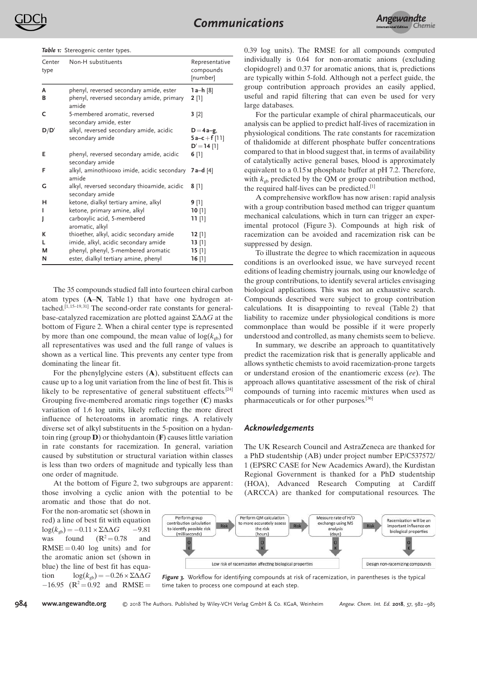Table 1: Stereogenic center types.

| Center<br>type | Non-H substituents                                             | Representative<br>compounds<br>[number]     |
|----------------|----------------------------------------------------------------|---------------------------------------------|
| A              | phenyl, reversed secondary amide, ester                        | 1 $a-h$ [8]                                 |
| В              | phenyl, reversed secondary amide, primary<br>amide             | $2$ [1]                                     |
| c              | 5-membered aromatic, reversed<br>secondary amide, ester        | 3[2]                                        |
| D/D'           | alkyl, reversed secondary amide, acidic<br>secondary amide     | $D = 4a-g$<br>$5a-c+f[11]$<br>$D' = 14$ [1] |
| Е              | phenyl, reversed secondary amide, acidic<br>secondary amide    | $6$ [1]                                     |
| F              | alkyl, aminothiooxo imide, acidic secondary<br>amide           | 7 a–d [4]                                   |
| G              | alkyl, reversed secondary thioamide, acidic<br>secondary amide | $8$ [1]                                     |
| н              | ketone, dialkyl tertiary amine, alkyl                          | $9$ [1]                                     |
|                | ketone, primary amine, alkyl                                   | 10 [1]                                      |
|                | carboxylic acid, 5-membered<br>aromatic, alkyl                 | וון רר                                      |
| к              | thioether, alkyl, acidic secondary amide                       | 12 [1]                                      |
| L              | imide, alkyl, acidic secondary amide                           | 13 [1]                                      |
| м              | phenyl, phenyl, 5-membered aromatic                            | 15 [1]                                      |
| N              | ester, dialkyl tertiary amine, phenyl                          | 16 [1]                                      |

The 35 compounds studied fall into fourteen chiral carbon atom types (A–N, Table 1) that have one hydrogen attached.<sup>[1,15-19,31]</sup> The second-order rate constants for generalbase-catalyzed racemization are plotted against  $\Sigma \Delta \Delta G$  at the bottom of Figure 2. When a chiral center type is represented by more than one compound, the mean value of  $log(k_{\text{orb}})$  for all representatives was used and the full range of values is shown as a vertical line. This prevents any center type from dominating the linear fit.

For the phenylglycine esters (A), substituent effects can cause up to a log unit variation from the line of best fit. This is likely to be representative of general substituent effects.<sup>[24]</sup> Grouping five-membered aromatic rings together (C) masks variation of 1.6 log units, likely reflecting the more direct influence of heteroatoms in aromatic rings. A relatively diverse set of alkyl substituents in the 5-position on a hydantoin ring (group  $\bf{D}$ ) or thiohydantoin ( $\bf{F}$ ) causes little variation in rate constants for racemization. In general, variation caused by substitution or structural variation within classes is less than two orders of magnitude and typically less than one order of magnitude.

At the bottom of Figure 2, two subgroups are apparent: those involving a cyclic anion with the potential to be aromatic and those that do not.

For the non-aromatic set (shown in red) a line of best fit with equation  $log(k_{gb}) = -0.11 \times \Sigma \Delta \Delta G$  -9.81<br>was found (R<sup>2</sup>=0.78 and  $(R^2 = 0.78)$  $RMSE = 0.40$  log units) and for the aromatic anion set (shown in blue) the line of best fit has equation  $log(k_{ab}) = -0.26 \times \Sigma \Delta \Delta G$  $-16.95$  (R<sup>2</sup> = 0.92 and RMSE =

984 [www.angewandte.org](http://www.angewandte.org) C 2018 The Authors. Published by Wiley-VCH Verlag GmbH & Co. KGaA, Weinheim Angew. Chem. Int. Ed. 2018, 57, 982-985

0.39 log units). The RMSE for all compounds computed individually is 0.64 for non-aromatic anions (excluding clopidogrel) and 0.37 for aromatic anions, that is, predictions are typically within 5-fold. Although not a perfect guide, the group contribution approach provides an easily applied, useful and rapid filtering that can even be used for very large databases.

For the particular example of chiral pharmaceuticals, our analysis can be applied to predict half-lives of racemization in physiological conditions. The rate constants for racemization of thalidomide at different phosphate buffer concentrations compared to that in blood suggest that, in terms of availability of catalytically active general bases, blood is approximately equivalent to a 0.15m phosphate buffer at pH 7.2. Therefore, with  $k_{gb}$  predicted by the QM or group contribution method, the required half-lives can be predicted.<sup>[1]</sup>

A comprehensive workflow has now arisen: rapid analysis with a group contribution based method can trigger quantum mechanical calculations, which in turn can trigger an experimental protocol (Figure 3). Compounds at high risk of racemization can be avoided and racemization risk can be suppressed by design.

To illustrate the degree to which racemization in aqueous conditions is an overlooked issue, we have surveyed recent editions of leading chemistry journals, using our knowledge of the group contributions, to identify several articles envisaging biological applications. This was not an exhaustive search. Compounds described were subject to group contribution calculations. It is disappointing to reveal (Table 2) that liability to racemize under physiological conditions is more commonplace than would be possible if it were properly understood and controlled, as many chemists seem to believe.

In summary, we describe an approach to quantitatively predict the racemization risk that is generally applicable and allows synthetic chemists to avoid racemization-prone targets or understand erosion of the enantiomeric excess (ee). The approach allows quantitative assessment of the risk of chiral compounds of turning into racemic mixtures when used as pharmaceuticals or for other purposes.[36]

### Acknowledgements

The UK Research Council and AstraZeneca are thanked for a PhD studentship (AB) under project number EP/C537572/ 1 (EPSRC CASE for New Academics Award), the Kurdistan Regional Government is thanked for a PhD studentship (HOA), Advanced Research Computing at Cardiff (ARCCA) are thanked for computational resources. The



Figure 3. Workflow for identifying compounds at risk of racemization, in parentheses is the typical time taken to process one compound at each step.